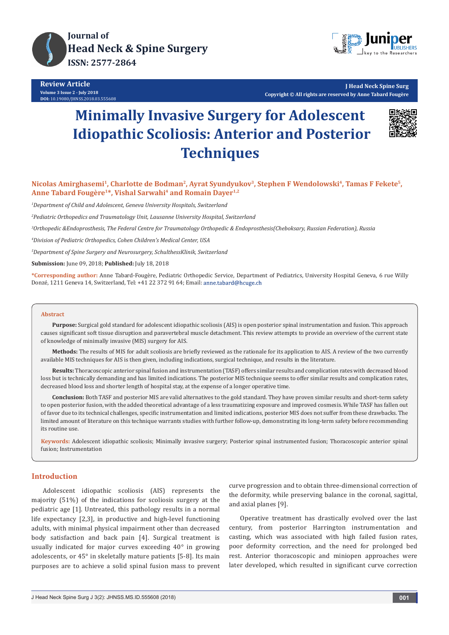



**J Head Neck Spine Surg Copyright © All rights are reserved by Anne Tabard Fougère**

# **Minimally Invasive Surgery for Adolescent Idiopathic Scoliosis: Anterior and Posterior Techniques**



**Nicolas Amirghasemi1, Charlotte de Bodman2, Ayrat Syundyukov3, Stephen F Wendolowski4, Tamas F Fekete5,**  Anne Tabard Fougère<sup>1\*</sup>, Vishal Sarwahi<sup>4</sup> and Romain Dayer<sup>1,2</sup>

*1 Department of Child and Adolescent, Geneva University Hospitals, Switzerland*

*2 Pediatric Orthopedics and Traumatology Unit, Lausanne University Hospital, Switzerland*

*3 Orthopedic &Endoprosthesis, The Federal Centre for Traumatology Orthopedic & Endoprosthesis(Cheboksary, Russian Federation), Russia* 

*4 Division of Pediatric Orthopedics, Cohen Children's Medical Center, USA*

*5 Department of Spine Surgery and Neurosurgery, SchulthessKlinik, Switzerland*

**Submission:** June 09, 2018; **Published:** July 18, 2018

**\*Corresponding author:** Anne Tabard-Fougère, Pediatric Orthopedic Service, Department of Pediatrics, University Hospital Geneva, 6 rue Willy Donzé, 1211 Geneva 14, Switzerland, Tel: +41 22 372 91 64; Email:

#### **Abstract**

**Purpose:** Surgical gold standard for adolescent idiopathic scoliosis (AIS) is open posterior spinal instrumentation and fusion. This approach causes significant soft tissue disruption and paravertebral muscle detachment. This review attempts to provide an overview of the current state of knowledge of minimally invasive (MIS) surgery for AIS.

**Methods:** The results of MIS for adult scoliosis are briefly reviewed as the rationale for its application to AIS. A review of the two currently available MIS techniques for AIS is then given, including indications, surgical technique, and results in the literature.

**Results:** Thoracoscopic anterior spinal fusion and instrumentation (TASF) offers similar results and complication rates with decreased blood loss but is technically demanding and has limited indications. The posterior MIS technique seems to offer similar results and complication rates, decreased blood loss and shorter length of hospital stay, at the expense of a longer operative time.

**Conclusion:** Both TASF and posterior MIS are valid alternatives to the gold standard. They have proven similar results and short-term safety to open posterior fusion, with the added theoretical advantage of a less traumatizing exposure and improved cosmesis. While TASF has fallen out of favor due to its technical challenges, specific instrumentation and limited indications, posterior MIS does not suffer from these drawbacks. The limited amount of literature on this technique warrants studies with further follow-up, demonstrating its long-term safety before recommending its routine use.

**Keywords:** Adolescent idiopathic scoliosis; Minimally invasive surgery; Posterior spinal instrumented fusion; Thoracoscopic anterior spinal fusion; Instrumentation

#### **Introduction**

Adolescent idiopathic scoliosis (AIS) represents the majority (51%) of the indications for scoliosis surgery at the pediatric age [1]. Untreated, this pathology results in a normal life expectancy [2,3], in productive and high-level functioning adults, with minimal physical impairment other than decreased body satisfaction and back pain [4]. Surgical treatment is usually indicated for major curves exceeding 40° in growing adolescents, or 45° in skeletally mature patients [5-8]. Its main purposes are to achieve a solid spinal fusion mass to prevent curve progression and to obtain three-dimensional correction of the deformity, while preserving balance in the coronal, sagittal, and axial planes [9].

Operative treatment has drastically evolved over the last century, from posterior Harrington instrumentation and casting, which was associated with high failed fusion rates, poor deformity correction, and the need for prolonged bed rest. Anterior thoracoscopic and miniopen approaches were later developed, which resulted in significant curve correction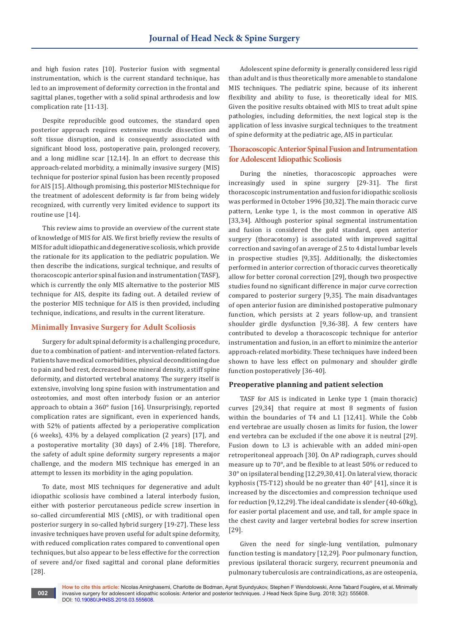and high fusion rates [10]. Posterior fusion with segmental instrumentation, which is the current standard technique, has led to an improvement of deformity correction in the frontal and sagittal planes, together with a solid spinal arthrodesis and low complication rate [11-13].

Despite reproducible good outcomes, the standard open posterior approach requires extensive muscle dissection and soft tissue disruption, and is consequently associated with significant blood loss, postoperative pain, prolonged recovery, and a long midline scar [12,14]. In an effort to decrease this approach-related morbidity, a minimally invasive surgery (MIS) technique for posterior spinal fusion has been recently proposed for AIS [15]. Although promising, this posterior MIS technique for the treatment of adolescent deformity is far from being widely recognized, with currently very limited evidence to support its routine use [14].

This review aims to provide an overview of the current state of knowledge of MIS for AIS. We first briefly review the results of MIS for adult idiopathic and degenerative scoliosis, which provide the rationale for its application to the pediatric population. We then describe the indications, surgical technique, and results of thoracoscopic anterior spinal fusion and instrumentation (TASF), which is currently the only MIS alternative to the posterior MIS technique for AIS, despite its fading out. A detailed review of the posterior MIS technique for AIS is then provided, including technique, indications, and results in the current literature.

#### **Minimally Invasive Surgery for Adult Scoliosis**

Surgery for adult spinal deformity is a challenging procedure, due to a combination of patient- and intervention-related factors. Patients have medical comorbidities, physical deconditioning due to pain and bed rest, decreased bone mineral density, a stiff spine deformity, and distorted vertebral anatomy. The surgery itself is extensive, involving long spine fusion with instrumentation and osteotomies, and most often interbody fusion or an anterior approach to obtain a 360° fusion [16]. Unsurprisingly, reported complication rates are significant, even in experienced hands, with 52% of patients affected by a perioperative complication (6 weeks), 43% by a delayed complication (2 years) [17], and a postoperative mortality (30 days) of 2.4% [18]. Therefore, the safety of adult spine deformity surgery represents a major challenge, and the modern MIS technique has emerged in an attempt to lessen its morbidity in the aging population.

To date, most MIS techniques for degenerative and adult idiopathic scoliosis have combined a lateral interbody fusion, either with posterior percutaneous pedicle screw insertion in so-called circumferential MIS (cMIS), or with traditional open posterior surgery in so-called hybrid surgery [19-27]. These less invasive techniques have proven useful for adult spine deformity, with reduced complication rates compared to conventional open techniques, but also appear to be less effective for the correction of severe and/or fixed sagittal and coronal plane deformities [28].

Adolescent spine deformity is generally considered less rigid than adult and is thus theoretically more amenable to standalone MIS techniques. The pediatric spine, because of its inherent flexibility and ability to fuse, is theoretically ideal for MIS. Given the positive results obtained with MIS to treat adult spine pathologies, including deformities, the next logical step is the application of less invasive surgical techniques to the treatment of spine deformity at the pediatric age, AIS in particular.

## **Thoracoscopic Anterior Spinal Fusion and Intrumentation for Adolescent Idiopathic Scoliosis**

During the nineties, thoracoscopic approaches were increasingly used in spine surgery [29-31]. The first thoracoscopic instrumentation and fusion for idiopathic scoliosis was performed in October 1996 [30,32]. The main thoracic curve pattern, Lenke type 1, is the most common in operative AIS [33,34]. Although posterior spinal segmental instrumentation and fusion is considered the gold standard, open anterior surgery (thoracotomy) is associated with improved sagittal correction and saving of an average of 2.5 to 4 distal lumbar levels in prospective studies [9,35]. Additionally, the diskectomies performed in anterior correction of thoracic curves theoretically allow for better coronal correction [29], though two prospective studies found no significant difference in major curve correction compared to posterior surgery [9,35]. The main disadvantages of open anterior fusion are diminished postoperative pulmonary function, which persists at 2 years follow-up, and transient shoulder girdle dysfunction [9,36-38]. A few centers have contributed to develop a thoracoscopic technique for anterior instrumentation and fusion, in an effort to minimize the anterior approach-related morbidity. These techniques have indeed been shown to have less effect on pulmonary and shoulder girdle function postoperatively [36-40].

### **Preoperative planning and patient selection**

TASF for AIS is indicated in Lenke type 1 (main thoracic) curves [29,34] that require at most 8 segments of fusion within the boundaries of T4 and L1 [12,41]. While the Cobb end vertebrae are usually chosen as limits for fusion, the lower end vertebra can be excluded if the one above it is neutral [29]. Fusion down to L3 is achievable with an added mini-open retroperitoneal approach [30]. On AP radiograph, curves should measure up to 70°, and be flexible to at least 50% or reduced to 30° on ipsilateral bending [12,29,30,41]. On lateral view, thoracic kyphosis (T5-T12) should be no greater than 40° [41], since it is increased by the discectomies and compression technique used for reduction [9,12,29]. The ideal candidate is slender (40-60kg), for easier portal placement and use, and tall, for ample space in the chest cavity and larger vertebral bodies for screw insertion [29].

Given the need for single-lung ventilation, pulmonary function testing is mandatory [12,29]. Poor pulmonary function, previous ipsilateral thoracic surgery, recurrent pneumonia and pulmonary tuberculosis are contraindications, as are osteopenia,

**How to cite this article:** Nicolas Amirghasemi, Charlotte de Bodman, Ayrat Syundyukov, Stephen F Wendolowski, Anne Tabard Fougère**,** et al**.** Minimally invasive surgery for adolescent idiopathic scoliosis: Anterior and posterior techniques. J Head Neck Spine Surg. 2018; 3(2): 555608. DOI: [10.19080/JHNSS.2018.03.555608.](http://dx.doi.org/10.19080/jhnss.2018.03.555608) **002**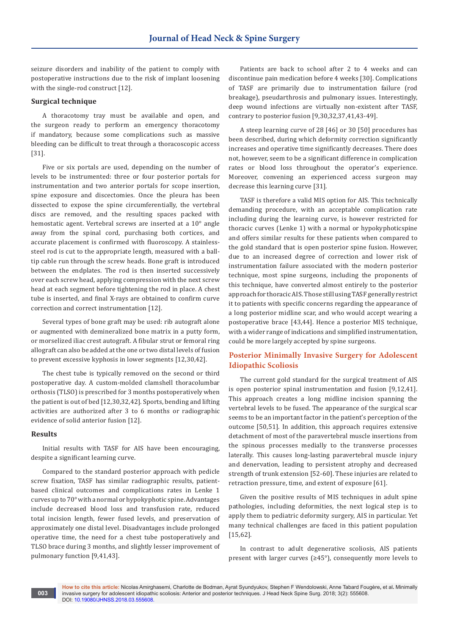seizure disorders and inability of the patient to comply with postoperative instructions due to the risk of implant loosening with the single-rod construct [12].

#### **Surgical technique**

A thoracotomy tray must be available and open, and the surgeon ready to perform an emergency thoracotomy if mandatory, because some complications such as massive bleeding can be difficult to treat through a thoracoscopic access [31].

Five or six portals are used, depending on the number of levels to be instrumented: three or four posterior portals for instrumentation and two anterior portals for scope insertion, spine exposure and discectomies. Once the pleura has been dissected to expose the spine circumferentially, the vertebral discs are removed, and the resulting spaces packed with hemostatic agent. Vertebral screws are inserted at a 10° angle away from the spinal cord, purchasing both cortices, and accurate placement is confirmed with fluoroscopy. A stainlesssteel rod is cut to the appropriate length, measured with a balltip cable run through the screw heads. Bone graft is introduced between the endplates. The rod is then inserted successively over each screw head, applying compression with the next screw head at each segment before tightening the rod in place. A chest tube is inserted, and final X-rays are obtained to confirm curve correction and correct instrumentation [12].

Several types of bone graft may be used: rib autograft alone or augmented with demineralized bone matrix in a putty form, or morselized iliac crest autograft. A fibular strut or femoral ring allograft can also be added at the one or two distal levels of fusion to prevent excessive kyphosis in lower segments [12,30,42].

The chest tube is typically removed on the second or third postoperative day. A custom-molded clamshell thoracolumbar orthosis (TLSO) is prescribed for 3 months postoperatively when the patient is out of bed [12,30,32,42]. Sports, bending and lifting activities are authorized after 3 to 6 months or radiographic evidence of solid anterior fusion [12].

#### **Results**

Initial results with TASF for AIS have been encouraging, despite a significant learning curve.

Compared to the standard posterior approach with pedicle screw fixation, TASF has similar radiographic results, patientbased clinical outcomes and complications rates in Lenke 1 curves up to 70° with a normal or hypokyphotic spine. Advantages include decreased blood loss and transfusion rate, reduced total incision length, fewer fused levels, and preservation of approximately one distal level. Disadvantages include prolonged operative time, the need for a chest tube postoperatively and TLSO brace during 3 months, and slightly lesser improvement of pulmonary function [9,41,43].

Patients are back to school after 2 to 4 weeks and can discontinue pain medication before 4 weeks [30]. Complications of TASF are primarily due to instrumentation failure (rod breakage), pseudarthrosis and pulmonary issues. Interestingly, deep wound infections are virtually non-existent after TASF, contrary to posterior fusion [9,30,32,37,41,43-49].

A steep learning curve of 28 [46] or 30 [50] procedures has been described, during which deformity correction significantly increases and operative time significantly decreases. There does not, however, seem to be a significant difference in complication rates or blood loss throughout the operator's experience. Moreover, convening an experienced access surgeon may decrease this learning curve [31].

TASF is therefore a valid MIS option for AIS. This technically demanding procedure, with an acceptable complication rate including during the learning curve, is however restricted for thoracic curves (Lenke 1) with a normal or hypokyphoticspine and offers similar results for these patients when compared to the gold standard that is open posterior spine fusion. However, due to an increased degree of correction and lower risk of instrumentation failure associated with the modern posterior technique, most spine surgeons, including the proponents of this technique, have converted almost entirely to the posterior approach for thoracic AIS. Those still using TASF generally restrict it to patients with specific concerns regarding the appearance of a long posterior midline scar, and who would accept wearing a postoperative brace [43,44]. Hence a posterior MIS technique, with a wider range of indications and simplified instrumentation, could be more largely accepted by spine surgeons.

## **Posterior Minimally Invasive Surgery for Adolescent Idiopathic Scoliosis**

The current gold standard for the surgical treatment of AIS is open posterior spinal instrumentation and fusion [9,12,41]. This approach creates a long midline incision spanning the vertebral levels to be fused. The appearance of the surgical scar seems to be an important factor in the patient's perception of the outcome [50,51]. In addition, this approach requires extensive detachment of most of the paravertebral muscle insertions from the spinous processes medially to the transverse processes laterally. This causes long-lasting paravertebral muscle injury and denervation, leading to persistent atrophy and decreased strength of trunk extension [52-60]. These injuries are related to retraction pressure, time, and extent of exposure [61].

Given the positive results of MIS techniques in adult spine pathologies, including deformities, the next logical step is to apply them to pediatric deformity surgery, AIS in particular. Yet many technical challenges are faced in this patient population [15,62].

In contrast to adult degenerative scoliosis, AIS patients present with larger curves ( $\geq 45^{\circ}$ ), consequently more levels to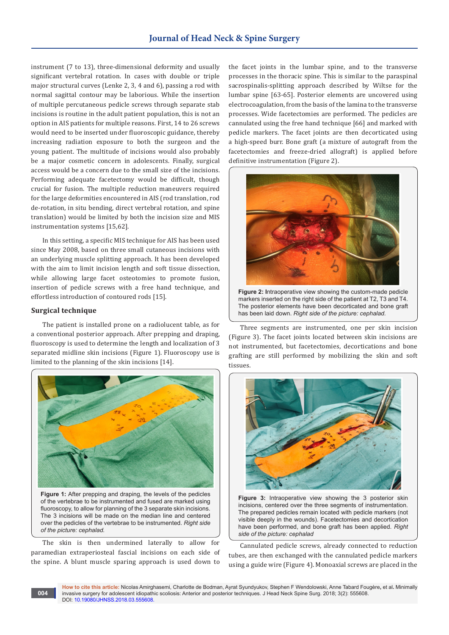instrument (7 to 13), three-dimensional deformity and usually significant vertebral rotation. In cases with double or triple major structural curves (Lenke 2, 3, 4 and 6), passing a rod with normal sagittal contour may be laborious. While the insertion of multiple percutaneous pedicle screws through separate stab incisions is routine in the adult patient population, this is not an option in AIS patients for multiple reasons. First, 14 to 26 screws would need to be inserted under fluoroscopic guidance, thereby increasing radiation exposure to both the surgeon and the young patient. The multitude of incisions would also probably be a major cosmetic concern in adolescents. Finally, surgical access would be a concern due to the small size of the incisions. Performing adequate facetectomy would be difficult, though crucial for fusion. The multiple reduction maneuvers required for the large deformities encountered in AIS (rod translation, rod de-rotation, in situ bending, direct vertebral rotation, and spine translation) would be limited by both the incision size and MIS instrumentation systems [15,62].

In this setting, a specific MIS technique for AIS has been used since May 2008, based on three small cutaneous incisions with an underlying muscle splitting approach. It has been developed with the aim to limit incision length and soft tissue dissection, while allowing large facet osteotomies to promote fusion, insertion of pedicle screws with a free hand technique, and effortless introduction of contoured rods [15].

#### **Surgical technique**

**004**

The patient is installed prone on a radiolucent table, as for a conventional posterior approach. After prepping and draping, fluoroscopy is used to determine the length and localization of 3 separated midline skin incisions (Figure 1). Fluoroscopy use is limited to the planning of the skin incisions [14].



of the vertebrae to be instrumented and fused are marked using fluoroscopy, to allow for planning of the 3 separate skin incisions. The 3 incisions will be made on the median line and centered over the pedicles of the vertebrae to be instrumented. *Right side of the picture: cephalad.*

The skin is then undermined laterally to allow for paramedian extraperiosteal fascial incisions on each side of the spine. A blunt muscle sparing approach is used down to

the facet joints in the lumbar spine, and to the transverse processes in the thoracic spine. This is similar to the paraspinal sacrospinalis-splitting approach described by Wiltse for the lumbar spine [63-65]. Posterior elements are uncovered using electrocoagulation, from the basis of the lamina to the transverse processes. Wide facetectomies are performed. The pedicles are cannulated using the free hand technique [66] and marked with pedicle markers. The facet joints are then decorticated using a high-speed burr. Bone graft (a mixture of autograft from the facetectomies and freeze-dried allograft) is applied before definitive instrumentation (Figure 2).



**Figure 2: I**ntraoperative view showing the custom-made pedicle markers inserted on the right side of the patient at T2, T3 and T4. The posterior elements have been decorticated and bone graft has been laid down. *Right side of the picture: cephalad.*

Three segments are instrumented, one per skin incision (Figure 3). The facet joints located between skin incisions are not instrumented, but facetectomies, decortications and bone grafting are still performed by mobilizing the skin and soft tissues.



**Figure 3:** Intraoperative view showing the 3 posterior skin incisions, centered over the three segments of instrumentation. The prepared pedicles remain located with pedicle markers (not visible deeply in the wounds). Facetectomies and decortication have been performed, and bone graft has been applied. *Right side of the picture: cephalad*

Cannulated pedicle screws, already connected to reduction tubes, are then exchanged with the cannulated pedicle markers using a guide wire (Figure 4). Monoaxial screws are placed in the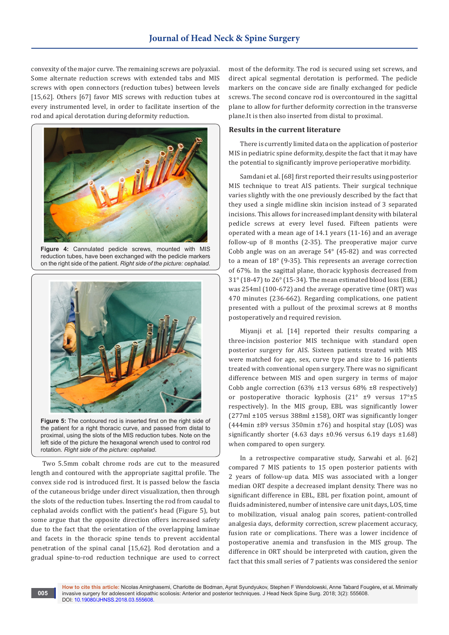convexity of the major curve. The remaining screws are polyaxial. Some alternate reduction screws with extended tabs and MIS screws with open connectors (reduction tubes) between levels [15,62]. Others [67] favor MIS screws with reduction tubes at every instrumented level, in order to facilitate insertion of the rod and apical derotation during deformity reduction.



**Figure 4:** Cannulated pedicle screws, mounted with MIS reduction tubes, have been exchanged with the pedicle markers on the right side of the patient. *Right side of the picture: cephalad.*



**Figure 5:** The contoured rod is inserted first on the right side of the patient for a right thoracic curve, and passed from distal to proximal, using the slots of the MIS reduction tubes. Note on the left side of the picture the hexagonal wrench used to control rod rotation. *Right side of the picture: cephalad.*

Two 5.5mm cobalt chrome rods are cut to the measured length and contoured with the appropriate sagittal profile. The convex side rod is introduced first. It is passed below the fascia of the cutaneous bridge under direct visualization, then through the slots of the reduction tubes. Inserting the rod from caudal to cephalad avoids conflict with the patient's head (Figure 5), but some argue that the opposite direction offers increased safety due to the fact that the orientation of the overlapping laminae and facets in the thoracic spine tends to prevent accidental penetration of the spinal canal [15,62]. Rod derotation and a gradual spine-to-rod reduction technique are used to correct

**005**

most of the deformity. The rod is secured using set screws, and direct apical segmental derotation is performed. The pedicle markers on the concave side are finally exchanged for pedicle screws. The second concave rod is overcontoured in the sagittal plane to allow for further deformity correction in the transverse plane.It is then also inserted from distal to proximal.

#### **Results in the current literature**

There is currently limited data on the application of posterior MIS in pediatric spine deformity, despite the fact that it may have the potential to significantly improve perioperative morbidity.

Samdani et al. [68] first reported their results using posterior MIS technique to treat AIS patients. Their surgical technique varies slightly with the one previously described by the fact that they used a single midline skin incision instead of 3 separated incisions. This allows for increased implant density with bilateral pedicle screws at every level fused. Fifteen patients were operated with a mean age of 14.1 years (11-16) and an average follow-up of 8 months (2-35). The preoperative major curve Cobb angle was on an average 54° (45-82) and was corrected to a mean of 18° (9-35). This represents an average correction of 67%. In the sagittal plane, thoracic kyphosis decreased from 31° (18-47) to 26° (15-34). The mean estimated blood loss (EBL) was 254ml (100-672) and the average operative time (ORT) was 470 minutes (236-662). Regarding complications, one patient presented with a pullout of the proximal screws at 8 months postoperatively and required revision.

Miyanji et al. [14] reported their results comparing a three-incision posterior MIS technique with standard open posterior surgery for AIS. Sixteen patients treated with MIS were matched for age, sex, curve type and size to 16 patients treated with conventional open surgery. There was no significant difference between MIS and open surgery in terms of major Cobb angle correction  $(63\% \pm 13 \text{ versus } 68\% \pm 8 \text{ respectively})$ or postoperative thoracic kyphosis (21° ±9 versus 17°±5 respectively). In the MIS group, EBL was significantly lower (277ml ±105 versus 388ml ±158), ORT was significantly longer (444min  $\pm$ 89 versus 350min  $\pm$ 76) and hospital stay (LOS) was significantly shorter (4.63 days  $\pm 0.96$  versus 6.19 days  $\pm 1.68$ ) when compared to open surgery.

In a retrospective comparative study, Sarwahi et al. [62] compared 7 MIS patients to 15 open posterior patients with 2 years of follow-up data. MIS was associated with a longer median ORT despite a decreased implant density. There was no significant difference in EBL, EBL per fixation point, amount of fluids administered, number of intensive care unit days, LOS, time to mobilization, visual analog pain scores, patient-controlled analgesia days, deformity correction, screw placement accuracy, fusion rate or complications. There was a lower incidence of postoperative anemia and transfusion in the MIS group. The difference in ORT should be interpreted with caution, given the fact that this small series of 7 patients was considered the senior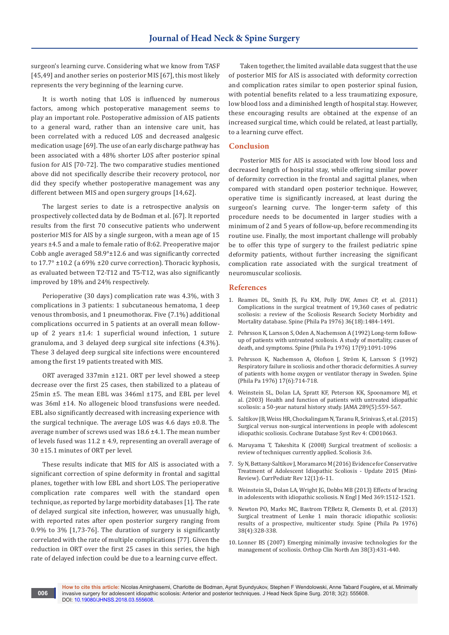surgeon's learning curve. Considering what we know from TASF [45,49] and another series on posterior MIS [67], this most likely represents the very beginning of the learning curve.

It is worth noting that LOS is influenced by numerous factors, among which postoperative management seems to play an important role. Postoperative admission of AIS patients to a general ward, rather than an intensive care unit, has been correlated with a reduced LOS and decreased analgesic medication usage [69]. The use of an early discharge pathway has been associated with a 48% shorter LOS after posterior spinal fusion for AIS [70-72]. The two comparative studies mentioned above did not specifically describe their recovery protocol, nor did they specify whether postoperative management was any different between MIS and open surgery groups [14,62].

The largest series to date is a retrospective analysis on prospectively collected data by de Bodman et al. [67]. It reported results from the first 70 consecutive patients who underwent posterior MIS for AIS by a single surgeon, with a mean age of 15 years ±4.5 and a male to female ratio of 8:62. Preoperative major Cobb angle averaged 58.9°±12.6 and was significantly corrected to  $17.7^{\circ}$  ±10.2 (a 69% ±20 curve correction). Thoracic kyphosis, as evaluated between T2-T12 and T5-T12, was also significantly improved by 18% and 24% respectively.

Perioperative (30 days) complication rate was 4.3%, with 3 complications in 3 patients: 1 subcutaneous hematoma, 1 deep venous thrombosis, and 1 pneumothorax. Five (7.1%) additional complications occurred in 5 patients at an overall mean followup of 2 years ±1.4: 1 superficial wound infection, 1 suture granuloma, and 3 delayed deep surgical site infections (4.3%). These 3 delayed deep surgical site infections were encountered among the first 19 patients treated with MIS.

ORT averaged 337min ±121. ORT per level showed a steep decrease over the first 25 cases, then stabilized to a plateau of 25min ±5. The mean EBL was 346ml ±175, and EBL per level was 36ml ±14. No allogeneic blood transfusions were needed. EBL also significantly decreased with increasing experience with the surgical technique. The average LOS was 4.6 days ±0.8. The average number of screws used was 18.6 ±4.1. The mean number of levels fused was  $11.2 \pm 4.9$ , representing an overall average of 30 ±15.1 minutes of ORT per level.

These results indicate that MIS for AIS is associated with a significant correction of spine deformity in frontal and sagittal planes, together with low EBL and short LOS. The perioperative complication rate compares well with the standard open technique, as reported by large morbidity databases [1]. The rate of delayed surgical site infection, however, was unusually high, with reported rates after open posterior surgery ranging from 0.9% to 3% [1,73-76]. The duration of surgery is significantly correlated with the rate of multiple complications [77]. Given the reduction in ORT over the first 25 cases in this series, the high rate of delayed infection could be due to a learning curve effect.

**006**

Taken together, the limited available data suggest that the use of posterior MIS for AIS is associated with deformity correction and complication rates similar to open posterior spinal fusion, with potential benefits related to a less traumatizing exposure, low blood loss and a diminished length of hospital stay. However, these encouraging results are obtained at the expense of an increased surgical time, which could be related, at least partially, to a learning curve effect.

#### **Conclusion**

Posterior MIS for AIS is associated with low blood loss and decreased length of hospital stay, while offering similar power of deformity correction in the frontal and sagittal planes, when compared with standard open posterior technique. However, operative time is significantly increased, at least during the surgeon's learning curve. The longer-term safety of this procedure needs to be documented in larger studies with a minimum of 2 and 5 years of follow-up, before recommending its routine use. Finally, the most important challenge will probably be to offer this type of surgery to the frailest pediatric spine deformity patients, without further increasing the significant complication rate associated with the surgical treatment of neuromuscular scoliosis.

#### **References**

- 1. [Reames DL, Smith JS, Fu KM, Polly DW, Ames CP, et al. \(2011\)](https://www.ncbi.nlm.nih.gov/pubmed/21037528)  [Complications in the surgical treatment of 19,360 cases of pediatric](https://www.ncbi.nlm.nih.gov/pubmed/21037528)  [scoliosis: a review of the Scoliosis Research Society Morbidity and](https://www.ncbi.nlm.nih.gov/pubmed/21037528)  [Mortality database. Spine \(Phila Pa 1976\) 36\(18\):1484-1491.](https://www.ncbi.nlm.nih.gov/pubmed/21037528)
- 2. [Pehrsson K, Larsson S, Oden A, Nachemson A \(1992\) Long-term follow](https://www.ncbi.nlm.nih.gov/pubmed/1411763)[up of patients with untreated scoliosis. A study of mortality, causes of](https://www.ncbi.nlm.nih.gov/pubmed/1411763)  [death, and symptoms. Spine \(Phila Pa 1976\) 17\(9\):1091-1096](https://www.ncbi.nlm.nih.gov/pubmed/1411763)
- 3. [Pehrsson K, Nachemson A, Olofson J, Ström K, Larsson S \(1992\)](https://www.ncbi.nlm.nih.gov/pubmed/1626306)  [Respiratory failure in scoliosis and other thoracic deformities. A survey](https://www.ncbi.nlm.nih.gov/pubmed/1626306)  [of patients with home oxygen or ventilator therapy in Sweden. Spine](https://www.ncbi.nlm.nih.gov/pubmed/1626306)  [\(Phila Pa 1976\) 17\(6\):714-718.](https://www.ncbi.nlm.nih.gov/pubmed/1626306)
- 4. [Weinstein SL, Dolan LA, Spratt KF, Peterson KK, Spoonamore MJ, et](https://www.ncbi.nlm.nih.gov/pubmed/12578488)  [al. \(2003\) Health and function of patients with untreated idiopathic](https://www.ncbi.nlm.nih.gov/pubmed/12578488)  [scoliosis: a 50-year natural history study. JAMA 289\(5\):559-567.](https://www.ncbi.nlm.nih.gov/pubmed/12578488)
- 5. [Saltikov JB, Weiss HR, Chockalingam N, Taranu R, Srinivas S, et al. \(2015\)](https://www.ncbi.nlm.nih.gov/pubmed/25908428)  [Surgical versus non-surgical interventions in people with adolescent](https://www.ncbi.nlm.nih.gov/pubmed/25908428)  [idiopathic scoliosis. Cochrane Database Syst Rev 4: CD010663.](https://www.ncbi.nlm.nih.gov/pubmed/25908428)
- 6. [Maruyama T, Takeshita K \(2008\) Surgical treatment of scoliosis: a](https://www.ncbi.nlm.nih.gov/pubmed/18423027)  [review of techniques currently applied. Scoliosis 3:6.](https://www.ncbi.nlm.nih.gov/pubmed/18423027)
- 7. [Sy N, Bettany-Saltikov J, Moramarco M \(2016\) Evidence for Conservative](https://www.ncbi.nlm.nih.gov/pubmed/26573167)  [Treatment of Adolescent Idiopathic Scoliosis - Update 2015 \(Mini-](https://www.ncbi.nlm.nih.gov/pubmed/26573167)[Review\). CurrPediatr Rev 12\(1\):6-11.](https://www.ncbi.nlm.nih.gov/pubmed/26573167)
- 8. [Weinstein SL, Dolan LA, Wright JG, Dobbs MB \(2013\) Effects of bracing](https://www.nejm.org/doi/full/10.1056/nejmoa1307337)  [in adolescents with idiopathic scoliosis. N Engl J Med 369:1512-1521.](https://www.nejm.org/doi/full/10.1056/nejmoa1307337)
- 9. [Newton PO, Marks MC, Bastrom TP,Betz R, Clements D, et al. \(2013\)](https://www.ncbi.nlm.nih.gov/pubmed/22869062)  [Surgical treatment of Lenke 1 main thoracic idiopathic scoliosis:](https://www.ncbi.nlm.nih.gov/pubmed/22869062)  [results of a prospective, multicenter study. Spine \(Phila Pa 1976\)](https://www.ncbi.nlm.nih.gov/pubmed/22869062)  [38\(4\):328-338.](https://www.ncbi.nlm.nih.gov/pubmed/22869062)
- 10. [Lonner BS \(2007\) Emerging minimally invasive technologies for the](https://www.ncbi.nlm.nih.gov/pubmed/17629990)  [management of scoliosis. Orthop Clin North Am 38\(3\):431-440.](https://www.ncbi.nlm.nih.gov/pubmed/17629990)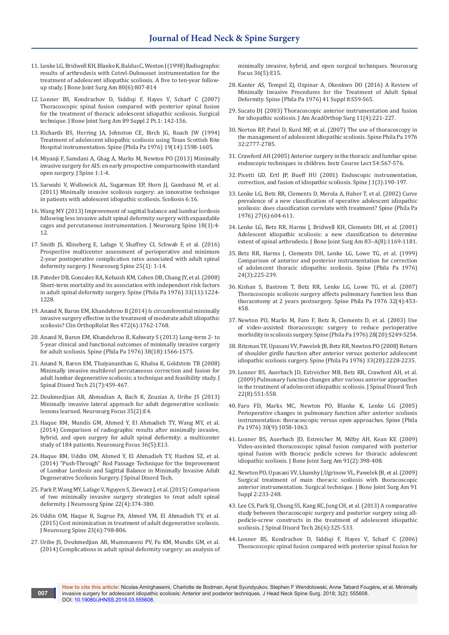- 11. [Lenke LG, Bridwell KH, Blanke K, Baldus C, Weston J \(1998\) Radiographic](https://www.ncbi.nlm.nih.gov/pubmed/9655098)  [results of arthrodesis with Cotrel-Dubousset instrumentation for the](https://www.ncbi.nlm.nih.gov/pubmed/9655098)  [treatment of adolescent idiopathic scoliosis. A five to ten-year follow](https://www.ncbi.nlm.nih.gov/pubmed/9655098)[up study. J Bone Joint Surg Am 80\(6\):807-814](https://www.ncbi.nlm.nih.gov/pubmed/9655098)
- 12. [Lonner BS, Kondrachov D, Siddiqi F, Hayes V, Scharf C \(2007\)](https://www.ncbi.nlm.nih.gov/pubmed/17332133)  [Thoracoscopic spinal fusion compared with posterior spinal fusion](https://www.ncbi.nlm.nih.gov/pubmed/17332133)  [for the treatment of thoracic adolescent idiopathic scoliosis. Surgical](https://www.ncbi.nlm.nih.gov/pubmed/17332133)  [technique. J Bone Joint Surg Am 89 Suppl 2 Pt.1: 142-156.](https://www.ncbi.nlm.nih.gov/pubmed/17332133)
- 13. [Richards BS, Herring JA, Johnston CE, Birch JG, Roach JW \(1994\)](https://www.ncbi.nlm.nih.gov/pubmed/7939996)  [Treatment of adolescent idiopathic scoliosis using Texas Scottish Rite](https://www.ncbi.nlm.nih.gov/pubmed/7939996)  [Hospital instrumentation. Spine \(Phila Pa 1976\) 19\(14\):1598-1605.](https://www.ncbi.nlm.nih.gov/pubmed/7939996)
- 14. Miyanji F, Samdani A, Ghag A, Marks M, Newton PO (2013) Minimally invasive surgery for AIS: en early prospective comparisonwith standard open surgery. J Spine 1:1-4.
- 15. [Sarwahi V, Wollowick AL, Sugarman EP, Horn JJ, Gambassi M, et al.](https://scoliosisjournal.biomedcentral.com/articles/10.1186/1748-7161-6-16)  [\(2011\) Minimally invasive scoliosis surgery: an innovative technique](https://scoliosisjournal.biomedcentral.com/articles/10.1186/1748-7161-6-16)  [in patients with adolescent idiopathic scoliosis. Scoliosis 6:16.](https://scoliosisjournal.biomedcentral.com/articles/10.1186/1748-7161-6-16)
- 16. [Wang MY \(2013\) Improvement of sagittal balance and lumbar lordosis](https://www.ncbi.nlm.nih.gov/pubmed/23101944)  [following less invasive adult spinal deformity surgery with expandable](https://www.ncbi.nlm.nih.gov/pubmed/23101944)  [cages and percutaneous instrumentation. J Neurosurg Spine 18\(1\):4-](https://www.ncbi.nlm.nih.gov/pubmed/23101944) [12.](https://www.ncbi.nlm.nih.gov/pubmed/23101944)
- 17. [Smith JS, Klineberg E, Lafage V, Shaffrey CI, Schwab F, et al. \(2016\)](https://www.ncbi.nlm.nih.gov/pubmed/26918574)  [Prospective multicenter assessment of perioperative and minimum](https://www.ncbi.nlm.nih.gov/pubmed/26918574)  [2-year postoperative complication rates associated with adult spinal](https://www.ncbi.nlm.nih.gov/pubmed/26918574)  [deformity surgery. J Neurosurg Spine 25\(1\): 1-14.](https://www.ncbi.nlm.nih.gov/pubmed/26918574)
- 18. [Pateder DB, Gonzales RA, Kebaish KM, Cohen DB, Chang JY, et al. \(2008\)](https://www.ncbi.nlm.nih.gov/pubmed/18469696)  [Short-term mortality and its association with independent risk factors](https://www.ncbi.nlm.nih.gov/pubmed/18469696)  [in adult spinal deformity surgery. Spine \(Phila Pa 1976\) 33\(11\):1224-](https://www.ncbi.nlm.nih.gov/pubmed/18469696) [1228.](https://www.ncbi.nlm.nih.gov/pubmed/18469696)
- 19. [Anand N, Baron EM, Khandehroo B \(2014\) Is circumferential minimally](https://www.ncbi.nlm.nih.gov/pubmed/24658900)  [invasive surgery effective in the treatment of moderate adult idiopathic](https://www.ncbi.nlm.nih.gov/pubmed/24658900)  [scoliosis? Clin OrthopRelat Res 472\(6\):1762-1768.](https://www.ncbi.nlm.nih.gov/pubmed/24658900)
- 20. [Anand N, Baron EM, Khandehroo B, Kahwaty S \(2013\) Long-term 2- to](https://www.ncbi.nlm.nih.gov/pubmed/23715025)  [5-year clinical and functional outcomes of minimally invasive surgery](https://www.ncbi.nlm.nih.gov/pubmed/23715025)  [for adult scoliosis. Spine \(Phila Pa 1976\) 38\(18\):1566-1575.](https://www.ncbi.nlm.nih.gov/pubmed/23715025)
- 21. [Anand N, Baron EM, Thaiyananthan G, Khalsa K, Goldstein TB \(2008\)](https://www.ncbi.nlm.nih.gov/pubmed/18836355)  [Minimally invasive multilevel percutaneous correction and fusion for](https://www.ncbi.nlm.nih.gov/pubmed/18836355)  [adult lumbar degenerative scoliosis: a technique and feasibility study. J](https://www.ncbi.nlm.nih.gov/pubmed/18836355)  [Spinal Disord Tech 21\(7\):459-467.](https://www.ncbi.nlm.nih.gov/pubmed/18836355)
- 22. [Deukmedjian AR, Ahmadian A, Bach K, Zouzias A, Uribe JS \(2013\)](https://www.ncbi.nlm.nih.gov/pubmed/23905955)  [Minimally invasive lateral approach for adult degenerative scoliosis:](https://www.ncbi.nlm.nih.gov/pubmed/23905955)  [lessons learned. Neurosurg Focus 35\(2\):E4.](https://www.ncbi.nlm.nih.gov/pubmed/23905955)
- 23. [Haque RM, Mundis GM, Ahmed Y, El Ahmadieh TY, Wang MY, et al.](https://www.ncbi.nlm.nih.gov/pubmed/24785478)  [\(2014\) Comparison of radiographic results after minimally invasive,](https://www.ncbi.nlm.nih.gov/pubmed/24785478)  [hybrid, and open surgery for adult spinal deformity: a multicenter](https://www.ncbi.nlm.nih.gov/pubmed/24785478)  [study of 184 patients. Neurosurg Focus 36\(5\):E13.](https://www.ncbi.nlm.nih.gov/pubmed/24785478)
- 24. Haque RM, Uddin OM, Ahmed Y, El Ahmadieh TY, Hashmi SZ, et al. (2014) "Push-Through" Rod Passage Technique for the Improvement of Lumbar Lordosis and Sagittal Balance in Minimally Invasive Adult Degenerative Scoliosis Surgery. J Spinal Disord Tech.
- 25. [Park P, Wang MY, Lafage V, Nguyen S, Ziewacz J, et al. \(2015\) Comparison](https://www.ncbi.nlm.nih.gov/pubmed/25635632)  [of two minimally invasive surgery strategies to treat adult spinal](https://www.ncbi.nlm.nih.gov/pubmed/25635632)  [deformity. J Neurosurg Spine 22\(4\):374-380.](https://www.ncbi.nlm.nih.gov/pubmed/25635632)
- 26. [Uddin OM, Haque R, Sugrue PA, Ahmed YM, El Ahmadieh TY, et al.](https://www.ncbi.nlm.nih.gov/pubmed/26315955)  [\(2015\) Cost minimization in treatment of adult degenerative scoliosis.](https://www.ncbi.nlm.nih.gov/pubmed/26315955)  [J Neurosurg Spine 23\(6\):798-806.](https://www.ncbi.nlm.nih.gov/pubmed/26315955)
- 27. [Uribe JS, Deukmedjian AR, Mummaneni PV, Fu KM, Mundis GM, et al.](https://www.ncbi.nlm.nih.gov/pubmed/24785480)  [\(2014\) Complications in adult spinal deformity surgery: an analysis of](https://www.ncbi.nlm.nih.gov/pubmed/24785480)

[minimally invasive, hybrid, and open surgical techniques. Neurosurg](https://www.ncbi.nlm.nih.gov/pubmed/24785480)  [Focus 36\(5\):E15.](https://www.ncbi.nlm.nih.gov/pubmed/24785480)

- 28. [Kanter AS, Tempel ZJ, Ozpinar A, Okonkwo DO \(2016\) A Review of](https://www.ncbi.nlm.nih.gov/pubmed/26839986)  [Minimally Invasive Procedures for the Treatment of Adult Spinal](https://www.ncbi.nlm.nih.gov/pubmed/26839986)  [Deformity. Spine \(Phila Pa 1976\) 41 Suppl 8:S59-S65.](https://www.ncbi.nlm.nih.gov/pubmed/26839986)
- 29. [Sucato DJ \(2003\) Thoracoscopic anterior instrumentation and fusion](https://www.ncbi.nlm.nih.gov/pubmed/12889860)  [for idiopathic scoliosis. J Am AcadOrthop Surg 11\(4\):221-227.](https://www.ncbi.nlm.nih.gov/pubmed/12889860)
- 30. Norton RP, Patel D, Kurd MF, et al. (2007) The use of thoracoscopy in the management of adolescent idiopathic scoliosis. Spine Phila Pa 1976 32:2777-2785.
- 31. [Crawford AH \(2005\) Anterior surgery in the thoracic and lumbar spine:](https://www.ncbi.nlm.nih.gov/pubmed/15948482)  [endoscopic techniques in children. Instr Course Lect 54:567-576.](https://www.ncbi.nlm.nih.gov/pubmed/15948482)
- 32. [Picetti GD, Ertl JP, Bueff HU \(2001\) Endoscopic instrumentation,](https://www.ncbi.nlm.nih.gov/pubmed/14588347)  [correction, and fusion of idiopathic scoliosis. Spine J 1\(3\):190-197.](https://www.ncbi.nlm.nih.gov/pubmed/14588347)
- 33. [Lenke LG, Betz RR, Clements D, Merola A, Haher T, et al. \(2002\) Curve](https://www.ncbi.nlm.nih.gov/pubmed/11884908)  [prevalence of a new classification of operative adolescent idiopathic](https://www.ncbi.nlm.nih.gov/pubmed/11884908)  [scoliosis: does classification correlate with treatment? Spine \(Phila Pa](https://www.ncbi.nlm.nih.gov/pubmed/11884908)  [1976\) 27\(6\):604-611.](https://www.ncbi.nlm.nih.gov/pubmed/11884908)
- 34. [Lenke LG, Betz RR, Harms J, Bridwell KH, Clements DH, et al. \(2001\)](https://www.ncbi.nlm.nih.gov/pubmed/11507125)  [Adolescent idiopathic scoliosis: a new classification to determine](https://www.ncbi.nlm.nih.gov/pubmed/11507125)  [extent of spinal arthrodesis. J Bone Joint Surg Am 83–A\(8\):1169-1181.](https://www.ncbi.nlm.nih.gov/pubmed/11507125)
- 35. [Betz RR, Harms J, Clements DH, Lenke LG, Lowe TG, et al. \(1999\)](https://www.ncbi.nlm.nih.gov/pubmed/10025017)  [Comparison of anterior and posterior instrumentation for correction](https://www.ncbi.nlm.nih.gov/pubmed/10025017)  [of adolescent thoracic idiopathic scoliosis. Spine \(Phila Pa 1976\)](https://www.ncbi.nlm.nih.gov/pubmed/10025017)  [24\(3\):225-239.](https://www.ncbi.nlm.nih.gov/pubmed/10025017)
- 36. [Kishan S, Bastrom T, Betz RR, Lenke LG, Lowe TG, et al. \(2007\)](https://europepmc.org/abstract/med/17304137)  [Thoracoscopic scoliosis surgery affects pulmonary function less than](https://europepmc.org/abstract/med/17304137)  [thoracotomy at 2 years postsurgery. Spine Phila Pa 1976 32\(4\):453-](https://europepmc.org/abstract/med/17304137) [458.](https://europepmc.org/abstract/med/17304137)
- 37. [Newton PO, Marks M, Faro F, Betz R, Clements D, et al. \(2003\) Use](https://www.ncbi.nlm.nih.gov/pubmed/14560200)  [of video-assisted thoracoscopic surgery to reduce perioperative](https://www.ncbi.nlm.nih.gov/pubmed/14560200)  [morbidity in scoliosis surgery. Spine \(Phila Pa 1976\) 28\(20\):S249-S254.](https://www.ncbi.nlm.nih.gov/pubmed/14560200)
- 38. [Ritzman TF, Upasani VV, Pawelek JB, Betz RR, Newton PO \(2008\) Return](https://www.ncbi.nlm.nih.gov/pubmed/18794765)  [of shoulder girdle function after anterior versus posterior adolescent](https://www.ncbi.nlm.nih.gov/pubmed/18794765)  [idiopathic scoliosis surgery. Spine \(Phila Pa 1976\) 33\(20\):2228-2235.](https://www.ncbi.nlm.nih.gov/pubmed/18794765)
- 39. [Lonner BS, Auerbach JD, Estreicher MB, Betz RR, Crawford AH, et al.](https://www.ncbi.nlm.nih.gov/pubmed/19956028)  [\(2009\) Pulmonary function changes after various anterior approaches](https://www.ncbi.nlm.nih.gov/pubmed/19956028)  [in the treatment of adolescent idiopathic scoliosis. J Spinal Disord Tech](https://www.ncbi.nlm.nih.gov/pubmed/19956028)  [22\(8\):551-558.](https://www.ncbi.nlm.nih.gov/pubmed/19956028)
- 40. [Faro FD, Marks MC, Newton PO, Blanke K, Lenke LG \(2005\)](https://www.ncbi.nlm.nih.gov/pubmed/15864159)  [Perioperative changes in pulmonary function after anterior scoliosis](https://www.ncbi.nlm.nih.gov/pubmed/15864159)  [instrumentation: thoracoscopic versus open approaches. Spine \(Phila](https://www.ncbi.nlm.nih.gov/pubmed/15864159)  [Pa 1976\) 30\(9\):1058-1063.](https://www.ncbi.nlm.nih.gov/pubmed/15864159)
- 41. [Lonner BS, Auerbach JD, Estreicher M, Milby AH, Kean KE \(2009\)](https://www.ncbi.nlm.nih.gov/pubmed/19181984)  [Video-assisted thoracoscopic spinal fusion compared with posterior](https://www.ncbi.nlm.nih.gov/pubmed/19181984)  [spinal fusion with thoracic pedicle screws for thoracic adolescent](https://www.ncbi.nlm.nih.gov/pubmed/19181984)  [idiopathic scoliosis. J Bone Joint Surg Am 91\(2\):398-408.](https://www.ncbi.nlm.nih.gov/pubmed/19181984)
- 42. [Newton PO, Upasani VV, Lhamby J,Ugrinow VL, Pawelek JB, et al. \(2009\)](https://journals.lww.com/jbjsjournal/subjects/spine/Abstract/2009/10002/Surgical_Treatment_of_Main_Thoracic_Scoliosis_with.7.aspx)  [Surgical treatment of main thoracic scoliosis with thoracoscopic](https://journals.lww.com/jbjsjournal/subjects/spine/Abstract/2009/10002/Surgical_Treatment_of_Main_Thoracic_Scoliosis_with.7.aspx)  [anterior instrumentation. Surgical technique. J Bone Joint Surg Am 91](https://journals.lww.com/jbjsjournal/subjects/spine/Abstract/2009/10002/Surgical_Treatment_of_Main_Thoracic_Scoliosis_with.7.aspx)  [Suppl 2:233-248.](https://journals.lww.com/jbjsjournal/subjects/spine/Abstract/2009/10002/Surgical_Treatment_of_Main_Thoracic_Scoliosis_with.7.aspx)
- 43. [Lee CS, Park SJ, Chung SS, Kang KC, Jung CH, et al. \(2013\) A comparative](https://www.ncbi.nlm.nih.gov/pubmed/22274785)  [study between thoracoscopic surgery and posterior surgery using all](https://www.ncbi.nlm.nih.gov/pubmed/22274785)[pedicle-screw constructs in the treatment of adolescent idiopathic](https://www.ncbi.nlm.nih.gov/pubmed/22274785)  [scoliosis. J Spinal Disord Tech 26\(6\):325-533.](https://www.ncbi.nlm.nih.gov/pubmed/22274785)
- 44. [Lonner BS, Kondrachov D, Siddiqi F, Hayes V, Scharf C \(2006\)](https://www.sfspine.com/wp-content/uploads/2015/10/Thoracoscopic-Spinal-Fusion-Comparted-with-Posterior-Spinal-Fusion.pdf)  [Thoracoscopic spinal fusion compared with posterior spinal fusion for](https://www.sfspine.com/wp-content/uploads/2015/10/Thoracoscopic-Spinal-Fusion-Comparted-with-Posterior-Spinal-Fusion.pdf)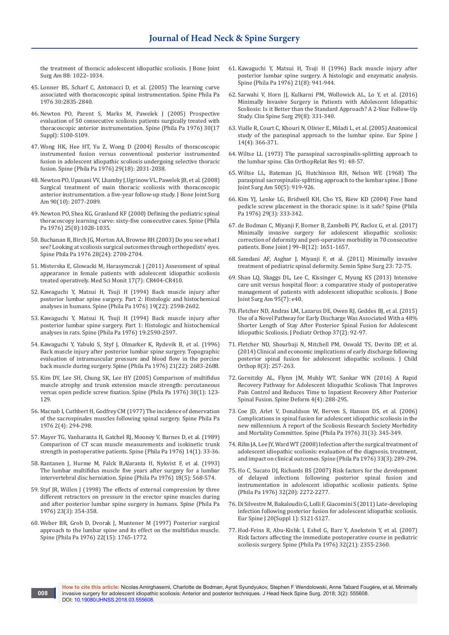[the treatment of thoracic adolescent idiopathic scoliosis. J Bone Joint](https://www.sfspine.com/wp-content/uploads/2015/10/Thoracoscopic-Spinal-Fusion-Comparted-with-Posterior-Spinal-Fusion.pdf)  [Surg Am 88: 1022–1034.](https://www.sfspine.com/wp-content/uploads/2015/10/Thoracoscopic-Spinal-Fusion-Comparted-with-Posterior-Spinal-Fusion.pdf)

- 45. Lonner BS, Scharf C, Antonacci D, et al. (2005) The learning curve associated with thoracoscopic spinal instrumentation. Spine Phila Pa 1976 30:2835-2840.
- 46. [Newton PO, Parent S, Marks M, Pawelek J \(2005\) Prospective](https://www.ncbi.nlm.nih.gov/pubmed/16138057)  [evaluation of 50 consecutive scoliosis patients surgically treated with](https://www.ncbi.nlm.nih.gov/pubmed/16138057)  [thoracoscopic anterior instrumentation. Spine \(Phila Pa 1976\) 30\(17](https://www.ncbi.nlm.nih.gov/pubmed/16138057)  [Suppl\): S100-S109.](https://www.ncbi.nlm.nih.gov/pubmed/16138057)
- 47. [Wong HK, Hee HT, Yu Z, Wong D \(2004\) Results of thoracoscopic](https://www.ncbi.nlm.nih.gov/pubmed/15371704)  [instrumented fusion versus conventional posterior instrumented](https://www.ncbi.nlm.nih.gov/pubmed/15371704)  [fusion in adolescent idiopathic scoliosis undergoing selective thoracic](https://www.ncbi.nlm.nih.gov/pubmed/15371704)  [fusion. Spine \(Phila Pa 1976\) 29\(18\): 2031-2038.](https://www.ncbi.nlm.nih.gov/pubmed/15371704)
- 48. [Newton PO, Upasani VV, Lhamby J,Ugrinow VL, Pawelek JB, et al. \(2008\)](https://www.ncbi.nlm.nih.gov/pubmed/18829904)  [Surgical treatment of main thoracic scoliosis with thoracoscopic](https://www.ncbi.nlm.nih.gov/pubmed/18829904)  [anterior instrumentation. a five-year follow-up study. J Bone Joint Surg](https://www.ncbi.nlm.nih.gov/pubmed/18829904)  [Am 90\(10\): 2077-2089.](https://www.ncbi.nlm.nih.gov/pubmed/18829904)
- 49. [Newton PO, Shea KG, Granlund KF \(2000\) Defining the pediatric spinal](https://www.ncbi.nlm.nih.gov/pubmed/10767817)  [thoracoscopy learning curve: sixty-five consecutive cases. Spine \(Phila](https://www.ncbi.nlm.nih.gov/pubmed/10767817)  [Pa 1976\) 25\(8\):1028-1035.](https://www.ncbi.nlm.nih.gov/pubmed/10767817)
- 50. [Buchanan R, Birch JG, Morton AA, Browne RH \(2003\) Do you see what I](https://europepmc.org/abstract/med/14673372)  [see? Looking at scoliosis surgical outcomes through orthopedists' eyes.](https://europepmc.org/abstract/med/14673372)  [Spine Phila Pa 1976 28\(24\): 2700-2704.](https://europepmc.org/abstract/med/14673372)
- 51. [Misterska E, Glowacki M, Harasymczuk J \(2011\) Assessment of spinal](https://www.ncbi.nlm.nih.gov/pubmed/21709635)  [appearance in female patients with adolescent idiopathic scoliosis](https://www.ncbi.nlm.nih.gov/pubmed/21709635)  [treated operatively. Med Sci Monit 17\(7\): CR404-CR410.](https://www.ncbi.nlm.nih.gov/pubmed/21709635)
- 52. [Kawaguchi Y, Matsui H, Tsuji H \(1994\) Back muscle injury after](https://www.ncbi.nlm.nih.gov/pubmed/7855687)  [posterior lumbar spine surgery. Part 2: Histologic and histochemical](https://www.ncbi.nlm.nih.gov/pubmed/7855687)  [analyses in humans. Spine \(Phila Pa 1976\) 19\(22\): 2598-2602.](https://www.ncbi.nlm.nih.gov/pubmed/7855687)
- 53. [Kawaguchi Y, Matsui H, Tsuji H \(1994\) Back muscle injury after](https://www.ncbi.nlm.nih.gov/pubmed/7855686)  [posterior lumbar spine surgery. Part 1: Histologic and histochemical](https://www.ncbi.nlm.nih.gov/pubmed/7855686)  [analyses in rats. Spine \(Phila Pa 1976\) 19:2590-2597.](https://www.ncbi.nlm.nih.gov/pubmed/7855686)
- 54. [Kawaguchi Y, Yabuki S, Styf J, Olmarker K, Rydevik B, et al. \(1996\)](https://www.ncbi.nlm.nih.gov/pubmed/8961456)  [Back muscle injury after posterior lumbar spine surgery. Topographic](https://www.ncbi.nlm.nih.gov/pubmed/8961456)  [evaluation of intramuscular pressure and blood flow in the porcine](https://www.ncbi.nlm.nih.gov/pubmed/8961456)  [back muscle during surgery. Spine \(Phila Pa 1976\) 21\(22\): 2683-2688.](https://www.ncbi.nlm.nih.gov/pubmed/8961456)
- 55. [Kim DY, Lee SH, Chung SK, Lee HY \(2005\) Comparison of multifidus](https://www.ncbi.nlm.nih.gov/pubmed/15626992)  [muscle atrophy and trunk extension muscle strength: percutaneous](https://www.ncbi.nlm.nih.gov/pubmed/15626992)  [versus open pedicle screw fixation. Spine \(Phila Pa 1976\) 30\(1\): 123-](https://www.ncbi.nlm.nih.gov/pubmed/15626992) [129.](https://www.ncbi.nlm.nih.gov/pubmed/15626992)
- 56. [Macnab I, Cuthbert H, Godfrey CM \(1977\) The incidence of denervation](https://journals.lww.com/spinejournal/Abstract/1977/12000/The_Incidence_of_Denervation_of_the_Sacrospinales.9.aspx)  [of the sacrospinales muscles following spinal surgery. Spine Phila Pa](https://journals.lww.com/spinejournal/Abstract/1977/12000/The_Incidence_of_Denervation_of_the_Sacrospinales.9.aspx)  [1976 2\(4\): 294-298.](https://journals.lww.com/spinejournal/Abstract/1977/12000/The_Incidence_of_Denervation_of_the_Sacrospinales.9.aspx)
- 57. [Mayer TG, Vanharanta H, Gatchel RJ, Mooney V, Barnes D, et al. \(1989\)](https://www.ncbi.nlm.nih.gov/pubmed/2913665)  [Comparison of CT scan muscle measurements and isokinetic trunk](https://www.ncbi.nlm.nih.gov/pubmed/2913665)  [strength in postoperative patients. Spine \(Phila Pa 1976\) 14\(1\): 33-36.](https://www.ncbi.nlm.nih.gov/pubmed/2913665)
- 58. [Rantanen J, Hurme M, Falck B,Alaranta H, Nykvist F, et al. \(1993\)](https://www.ncbi.nlm.nih.gov/pubmed/8484147)  [The lumbar multifidus muscle five years after surgery for a lumbar](https://www.ncbi.nlm.nih.gov/pubmed/8484147)  [intervertebral disc herniation. Spine \(Phila Pa 1976\) 18\(5\): 568-574.](https://www.ncbi.nlm.nih.gov/pubmed/8484147)
- 59. [Styf JR, Willen J \(1998\) The effects of external compression by three](https://www.ncbi.nlm.nih.gov/pubmed/9507625)  [different retractors on pressure in the erector spine muscles during](https://www.ncbi.nlm.nih.gov/pubmed/9507625)  [and after posterior lumbar spine surgery in humans. Spine \(Phila Pa](https://www.ncbi.nlm.nih.gov/pubmed/9507625)  [1976\) 23\(3\): 354-358.](https://www.ncbi.nlm.nih.gov/pubmed/9507625)
- 60. [Weber BR, Grob D, Dvorak J, Muntener M \(1997\) Posterior surgical](https://www.ncbi.nlm.nih.gov/pubmed/9259789)  [approach to the lumbar spine and its effect on the multifidus muscle.](https://www.ncbi.nlm.nih.gov/pubmed/9259789)  [Spine \(Phila Pa 1976\) 22\(15\): 1765-1772.](https://www.ncbi.nlm.nih.gov/pubmed/9259789)

**008**

- 61. [Kawaguchi Y, Matsui H, Tsuji H \(1996\) Back muscle injury after](https://www.ncbi.nlm.nih.gov/pubmed/8726197)  [posterior lumbar spine surgery. A histologic and enzymatic analysis.](https://www.ncbi.nlm.nih.gov/pubmed/8726197)  [Spine \(Phila Pa 1976\) 21\(8\): 941-944.](https://www.ncbi.nlm.nih.gov/pubmed/8726197)
- 62. [Sarwahi V, Horn JJ, Kulkarni PM, Wollowick AL, Lo Y, et al. \(2016\)](https://www.ncbi.nlm.nih.gov/pubmed/24852384)  [Minimally Invasive Surgery in Patients with Adolescent Idiopathic](https://www.ncbi.nlm.nih.gov/pubmed/24852384)  [Scoliosis: Is it Better than the Standard Approach? A 2-Year Follow-Up](https://www.ncbi.nlm.nih.gov/pubmed/24852384)  [Study. Clin Spine Surg 29\(8\): 331-340.](https://www.ncbi.nlm.nih.gov/pubmed/24852384)
- 63. [Vialle R, Court C, Khouri N, Olivier E, Miladi L, et al. \(2005\) Anatomical](https://www.ncbi.nlm.nih.gov/pubmed/15526219/)  [study of the paraspinal approach to the lumbar spine. Eur Spine J](https://www.ncbi.nlm.nih.gov/pubmed/15526219/)  [14\(4\): 366-371.](https://www.ncbi.nlm.nih.gov/pubmed/15526219/)
- 64. [Wiltse LL \(1973\) The paraspinal sacrospinalis-splitting approach to](https://www.ncbi.nlm.nih.gov/pubmed/4574067)  [the lumbar spine. Clin OrthopRelat Res 91: 48-57.](https://www.ncbi.nlm.nih.gov/pubmed/4574067)
- 65. [Wiltse LL, Bateman JG, Hutchinson RH, Nelson WE \(1968\) The](https://www.ncbi.nlm.nih.gov/pubmed/5676831)  [paraspinal sacrospinalis-splitting approach to the lumbar spine. J Bone](https://www.ncbi.nlm.nih.gov/pubmed/5676831)  [Joint Surg Am 50\(5\): 919-926.](https://www.ncbi.nlm.nih.gov/pubmed/5676831)
- 66. [Kim YJ, Lenke LG, Bridwell KH, Cho YS, Riew KD \(2004\) Free hand](https://www.ncbi.nlm.nih.gov/pubmed/14752359)  [pedicle screw placement in the thoracic spine: is it safe? Spine \(Phila](https://www.ncbi.nlm.nih.gov/pubmed/14752359)  [Pa 1976\) 29\(3\): 333-342.](https://www.ncbi.nlm.nih.gov/pubmed/14752359)
- 67. [de Bodman C, Miyanji F, Borner B, Zambelli PY, Racloz G, et al. \(2017\)](https://www.ncbi.nlm.nih.gov/pubmed/29212689)  [Minimally invasive surgery for adolescent idiopathic scoliosis:](https://www.ncbi.nlm.nih.gov/pubmed/29212689)  [correction of deformity and peri-operative morbidity in 70 consecutive](https://www.ncbi.nlm.nih.gov/pubmed/29212689)  [patients. Bone Joint J 99–B\(12\): 1651-1657.](https://www.ncbi.nlm.nih.gov/pubmed/29212689)
- 68. Samdani AF, Asghar J, Miyanji F, et al. (2011) Minimally invasive treatment of pediatric spinal deformity. Semin Spine Surg 23: 72-75.
- 69. [Shan LQ, Skaggs DL, Lee C, Kissinger C, Myung KS \(2013\) Intensive](https://www.ncbi.nlm.nih.gov/pubmed/23553303)  [care unit versus hospital floor: a comparative study of postoperative](https://www.ncbi.nlm.nih.gov/pubmed/23553303)  [management of patients with adolescent idiopathic scoliosis. J Bone](https://www.ncbi.nlm.nih.gov/pubmed/23553303)  [Joint Surg Am 95\(7\): e40.](https://www.ncbi.nlm.nih.gov/pubmed/23553303)
- 70. [Fletcher ND, Andras LM, Lazarus DE, Owen RJ, Geddes BJ, et al. \(2015\)](https://www.ncbi.nlm.nih.gov/pubmed/26214327)  [Use of a Novel Pathway for Early Discharge Was Associated With a 48%](https://www.ncbi.nlm.nih.gov/pubmed/26214327)  [Shorter Length of Stay After Posterior Spinal Fusion for Adolescent](https://www.ncbi.nlm.nih.gov/pubmed/26214327)  [Idiopathic Scoliosis. J Pediatr Orthop 37\(2\): 92-97.](https://www.ncbi.nlm.nih.gov/pubmed/26214327)
- 71. [Fletcher ND, Shourbaji N, Mitchell PM, Oswald TS, Devito DP, et al.](https://www.ncbi.nlm.nih.gov/pubmed/24770995)  [\(2014\) Clinical and economic implications of early discharge following](https://www.ncbi.nlm.nih.gov/pubmed/24770995)  [posterior spinal fusion for adolescent idiopathic scoliosis. J Child](https://www.ncbi.nlm.nih.gov/pubmed/24770995)  [Orthop 8\(3\): 257-263.](https://www.ncbi.nlm.nih.gov/pubmed/24770995)
- 72. [Gornitzky AL, Flynn JM, Muhly WT, Sankar WN \(2016\) A Rapid](https://www.ncbi.nlm.nih.gov/pubmed/27927519)  [Recovery Pathway for Adolescent Idiopathic Scoliosis That Improves](https://www.ncbi.nlm.nih.gov/pubmed/27927519)  [Pain Control and Reduces Time to Inpatient Recovery After Posterior](https://www.ncbi.nlm.nih.gov/pubmed/27927519)  [Spinal Fusion. Spine Deform 4\(4\): 288-295.](https://www.ncbi.nlm.nih.gov/pubmed/27927519)
- 73. [Coe JD, Arlet V, Donaldson W, Berven S, Hanson DS, et al. \(2006\)](https://www.ncbi.nlm.nih.gov/pubmed/16449909)  [Complications in spinal fusion for adolescent idiopathic scoliosis in the](https://www.ncbi.nlm.nih.gov/pubmed/16449909)  [new millennium. A report of the Scoliosis Research Society Morbidity](https://www.ncbi.nlm.nih.gov/pubmed/16449909)  [and Mortality Committee. Spine \(Phila Pa 1976\) 31\(3\): 345-349.](https://www.ncbi.nlm.nih.gov/pubmed/16449909)
- 74. [Rihn JA, Lee JY, Ward WT \(2008\) Infection after the surgical treatment of](https://www.ncbi.nlm.nih.gov/pubmed/18303461)  [adolescent idiopathic scoliosis: evaluation of the diagnosis, treatment,](https://www.ncbi.nlm.nih.gov/pubmed/18303461)  [and impact on clinical outcomes. Spine \(Phila Pa 1976\) 33\(3\): 289-294.](https://www.ncbi.nlm.nih.gov/pubmed/18303461)
- 75. [Ho C, Sucato DJ, Richards BS \(2007\) Risk factors for the development](https://www.ncbi.nlm.nih.gov/pubmed/17873822)  [of delayed infections following posterior spinal fusion and](https://www.ncbi.nlm.nih.gov/pubmed/17873822)  [instrumentation in adolescent idiopathic scoliosis patients. Spine](https://www.ncbi.nlm.nih.gov/pubmed/17873822)  [\(Phila Pa 1976\) 32\(20\): 2272-2277.](https://www.ncbi.nlm.nih.gov/pubmed/17873822)
- 76. [Di Silvestre M, Bakaloudis G, Lolli F, Giacomini S \(2011\) Late-developing](https://www.ncbi.nlm.nih.gov/pubmed/21505809)  [infection following posterior fusion for adolescent idiopathic scoliosis.](https://www.ncbi.nlm.nih.gov/pubmed/21505809)  [Eur Spine J 20\(Suppl 1\): S121-S127.](https://www.ncbi.nlm.nih.gov/pubmed/21505809)
- 77. [Hod-Feins R, Abu-Kishk I, Eshel G, Barr Y, Anekstein Y, et al. \(2007\)](https://www.ncbi.nlm.nih.gov/pubmed/17906578)  [Risk factors affecting the immediate postoperative course in pediatric](https://www.ncbi.nlm.nih.gov/pubmed/17906578)  [scoliosis surgery. Spine \(Phila Pa 1976\) 32\(21\): 2355-2360.](https://www.ncbi.nlm.nih.gov/pubmed/17906578)